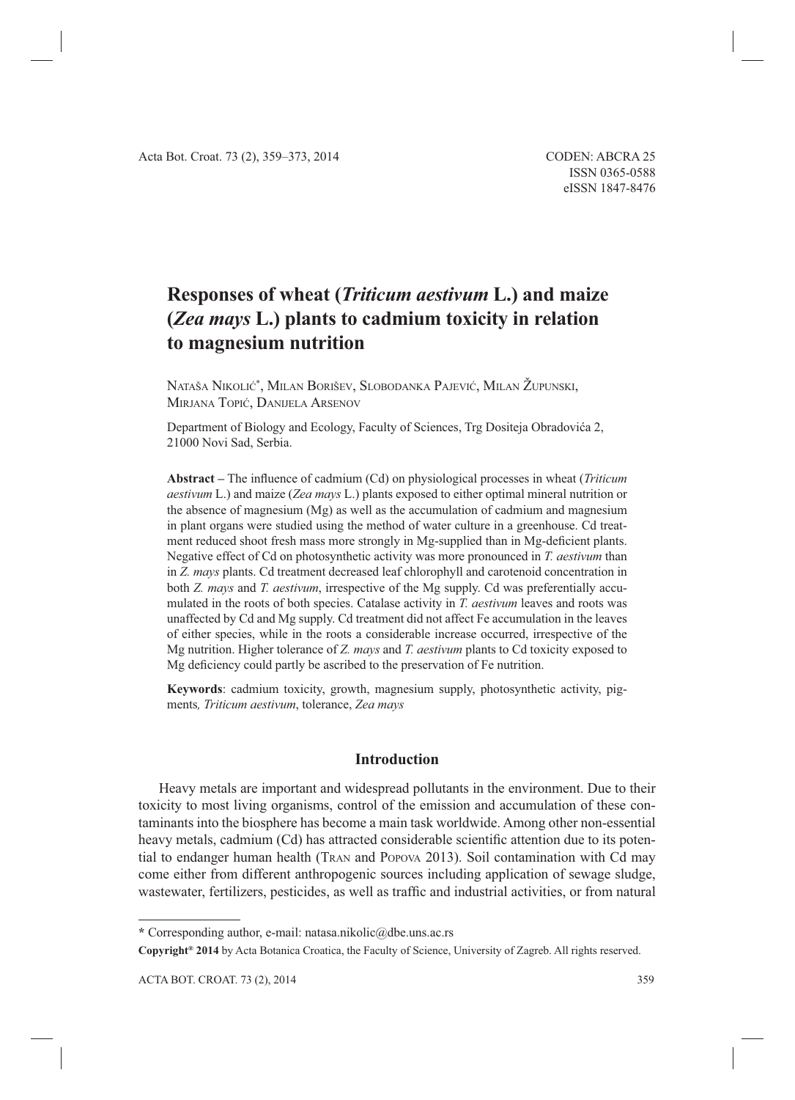# **Responses of wheat (***Triticum aestivum* **L.) and maize (***Zea mays* **L.) plants to cadmium toxicity in relation to magnesium nutrition**

NATAŠA NIKOLIĆ\* , MILAN BORIŠEV, SLOBODANKA PAJEVIĆ, MILAN ŽUPUNSKI, MIRJANA TOPIĆ, DANIJELA ARSENOV

Department of Biology and Ecology, Faculty of Sciences, Trg Dositeja Obradovića 2, 21000 Novi Sad, Serbia.

Abstract – The influence of cadmium (Cd) on physiological processes in wheat (*Triticum aestivum* L.) and maize (*Zea mays* L.) plants exposed to either optimal mineral nutrition or the absence of magnesium (Mg) as well as the accumulation of cadmium and magnesium in plant organs were studied using the method of water culture in a greenhouse. Cd treatment reduced shoot fresh mass more strongly in Mg-supplied than in Mg-deficient plants. Negative effect of Cd on photosynthetic activity was more pronounced in *T. aestivum* than in *Z. mays* plants. Cd treatment decreased leaf chlorophyll and carotenoid concentration in both *Z. mays* and *T. aestivum*, irrespective of the Mg supply. Cd was preferentially accumulated in the roots of both species. Catalase activity in *T. aestivum* leaves and roots was unaffected by Cd and Mg supply. Cd treatment did not affect Fe accumulation in the leaves of either species, while in the roots a considerable increase occurred, irrespective of the Mg nutrition. Higher tolerance of *Z. mays* and *T. aestivum* plants to Cd toxicity exposed to Mg deficiency could partly be ascribed to the preservation of Fe nutrition.

**Keywords**: cadmium toxicity, growth, magnesium supply, photosynthetic activity, pigments*, Triticum aestivum*, tolerance, *Zea mays*

# **Introduction**

Heavy metals are important and widespread pollutants in the environment. Due to their toxicity to most living organisms, control of the emission and accumulation of these contaminants into the biosphere has become a main task worldwide. Among other non-essential heavy metals, cadmium (Cd) has attracted considerable scientific attention due to its potential to endanger human health (TRAN and POPOVA 2013). Soil contamination with Cd may come either from different anthropogenic sources including application of sewage sludge, wastewater, fertilizers, pesticides, as well as traffic and industrial activities, or from natural

**<sup>\*</sup>** Corresponding author, e-mail: natasa.nikolic@dbe.uns.ac.rs

**Copyright® 2014** by Acta Botanica Croatica, the Faculty of Science, University of Zagreb. All rights reserved.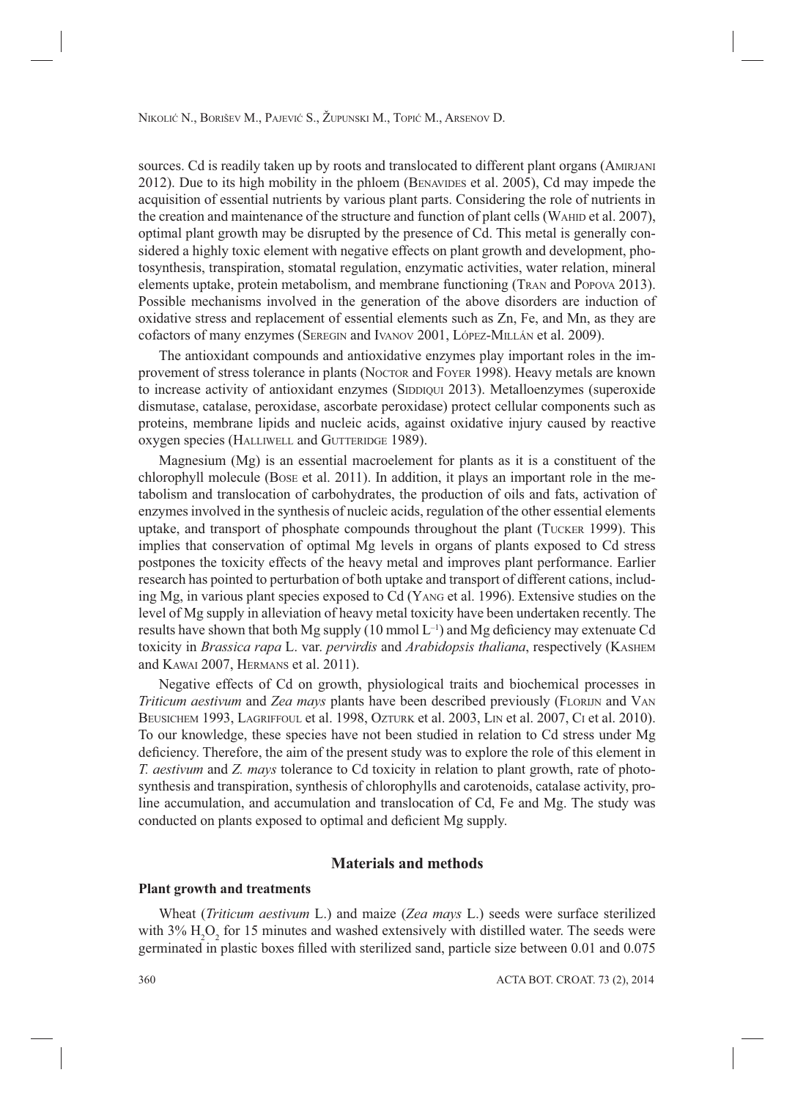sources. Cd is readily taken up by roots and translocated to different plant organs (AMIRJANI 2012). Due to its high mobility in the phloem (BENAVIDES et al. 2005), Cd may impede the acquisition of essential nutrients by various plant parts. Considering the role of nutrients in the creation and maintenance of the structure and function of plant cells (WAHID et al. 2007), optimal plant growth may be disrupted by the presence of Cd. This metal is generally considered a highly toxic element with negative effects on plant growth and development, photosynthesis, transpiration, stomatal regulation, enzymatic activities, water relation, mineral elements uptake, protein metabolism, and membrane functioning (TRAN and POPOVA 2013). Possible mechanisms involved in the generation of the above disorders are induction of oxidative stress and replacement of essential elements such as Zn, Fe, and Mn, as they are cofactors of many enzymes (SEREGIN and IVANOV 2001, LÓPEZ-MILLÁN et al. 2009).

The antioxidant compounds and antioxidative enzymes play important roles in the improvement of stress tolerance in plants (NOCTOR and FOYER 1998). Heavy metals are known to increase activity of antioxidant enzymes (SIDDIQUI 2013). Metalloenzymes (superoxide dismutase, catalase, peroxidase, ascorbate peroxidase) protect cellular components such as proteins, membrane lipids and nucleic acids, against oxidative injury caused by reactive oxygen species (HALLIWELL and GUTTERIDGE 1989).

Magnesium (Mg) is an essential macroelement for plants as it is a constituent of the chlorophyll molecule (BOSE et al. 2011). In addition, it plays an important role in the metabolism and translocation of carbohydrates, the production of oils and fats, activation of enzymes involved in the synthesis of nucleic acids, regulation of the other essential elements uptake, and transport of phosphate compounds throughout the plant (TUCKER 1999). This implies that conservation of optimal Mg levels in organs of plants exposed to Cd stress postpones the toxicity effects of the heavy metal and improves plant performance. Earlier research has pointed to perturbation of both uptake and transport of different cations, including Mg, in various plant species exposed to Cd (YANG et al. 1996). Extensive studies on the level of Mg supply in alleviation of heavy metal toxicity have been undertaken recently. The results have shown that both Mg supply (10 mmol  $L^{-1}$ ) and Mg deficiency may extenuate Cd toxicity in *Brassica rapa* L. var. *pervirdis* and *Arabidopsis thaliana*, respectively (KASHEM and KAWAI 2007, HERMANS et al. 2011).

Negative effects of Cd on growth, physiological traits and biochemical processes in *Triticum aestivum* and *Zea mays* plants have been described previously (FLORIJN and VAN BEUSICHEM 1993, LAGRIFFOUL et al. 1998, OZTURK et al. 2003, LIN et al. 2007, CI et al. 2010). To our knowledge, these species have not been studied in relation to Cd stress under Mg deficiency. Therefore, the aim of the present study was to explore the role of this element in *T. aestivum* and *Z. mays* tolerance to Cd toxicity in relation to plant growth, rate of photosynthesis and transpiration, synthesis of chlorophylls and carotenoids, catalase activity, proline accumulation, and accumulation and translocation of Cd, Fe and Mg. The study was conducted on plants exposed to optimal and deficient Mg supply.

# **Materials and methods**

## **Plant growth and treatments**

Wheat (*Triticum aestivum* L.) and maize (*Zea mays* L.) seeds were surface sterilized with  $3\%$  H<sub>2</sub>O<sub>2</sub> for 15 minutes and washed extensively with distilled water. The seeds were germinated in plastic boxes filled with sterilized sand, particle size between 0.01 and 0.075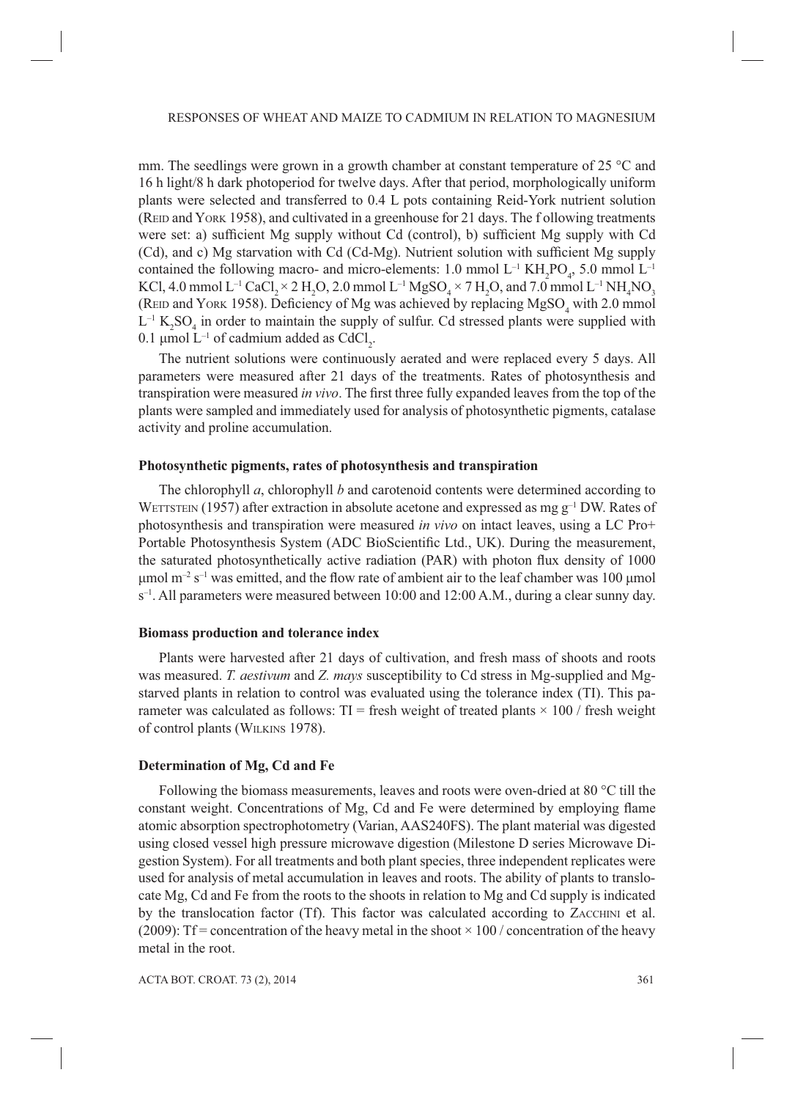mm. The seedlings were grown in a growth chamber at constant temperature of 25 °C and 16 h light/8 h dark photoperiod for twelve days. After that period, morphologically uniform plants were selected and transferred to 0.4 L pots containing Reid-York nutrient solution (REID and YORK 1958), and cultivated in a greenhouse for 21 days. The f ollowing treatments were set: a) sufficient Mg supply without Cd (control), b) sufficient Mg supply with Cd (Cd), and c) Mg starvation with Cd (Cd-Mg). Nutrient solution with sufficient Mg supply contained the following macro- and micro-elements: 1.0 mmol  $L^{-1}$  KH<sub>2</sub>PO<sub>4</sub>, 5.0 mmol  $L^{-1}$ KCl, 4.0 mmol  $\rm L^{-1}$  CaCl<sub>2</sub>  $\times$  2 H<sub>2</sub>O, 2.0 mmol  $\rm L^{-1}$  MgSO<sub>4</sub>  $\times$  7 H<sub>2</sub>O, and 7.0 mmol  $\rm L^{-1}$  NH<sub>4</sub>NO<sub>3</sub> (REID and YORK 1958). Deficiency of Mg was achieved by replacing  $MgSO<sub>4</sub>$  with 2.0 mmol  $L^{-1}$  K<sub>2</sub>SO<sub>4</sub> in order to maintain the supply of sulfur. Cd stressed plants were supplied with 0.1  $\mu$ mol L<sup>-1</sup> of cadmium added as CdCl<sub>2</sub>.

The nutrient solutions were continuously aerated and were replaced every 5 days. All parameters were measured after 21 days of the treatments. Rates of photosynthesis and transpiration were measured *in vivo*. The first three fully expanded leaves from the top of the plants were sampled and immediately used for analysis of photosynthetic pigments, catalase activity and proline accumulation.

## **Photosynthetic pigments, rates of photosynthesis and transpiration**

The chlorophyll *a*, chlorophyll *b* and carotenoid contents were determined according to WETTSTEIN (1957) after extraction in absolute acetone and expressed as mg  $g^{-1}$  DW. Rates of photosynthesis and transpiration were measured *in vivo* on intact leaves, using a LC Pro+ Portable Photosynthesis System (ADC BioScientific Ltd., UK). During the measurement, the saturated photosynthetically active radiation (PAR) with photon flux density of 1000 μmol m<sup>-2</sup> s<sup>-1</sup> was emitted, and the flow rate of ambient air to the leaf chamber was 100 μmol s<sup>-1</sup>. All parameters were measured between 10:00 and 12:00 A.M., during a clear sunny day.

# **Biomass production and tolerance index**

Plants were harvested after 21 days of cultivation, and fresh mass of shoots and roots was measured. *T. aestivum* and *Z. mays* susceptibility to Cd stress in Mg-supplied and Mgstarved plants in relation to control was evaluated using the tolerance index (TI). This parameter was calculated as follows: TI = fresh weight of treated plants  $\times$  100 / fresh weight of control plants (WILKINS 1978).

## **Determination of Mg, Cd and Fe**

Following the biomass measurements, leaves and roots were oven-dried at 80 °C till the constant weight. Concentrations of Mg, Cd and Fe were determined by employing flame atomic absorption spectrophotometry (Varian, AAS240FS). The plant material was digested using closed vessel high pressure microwave digestion (Milestone D series Microwave Digestion System). For all treatments and both plant species, three independent replicates were used for analysis of metal accumulation in leaves and roots. The ability of plants to translocate Mg, Cd and Fe from the roots to the shoots in relation to Mg and Cd supply is indicated by the translocation factor (Tf). This factor was calculated according to ZACCHINI et al. (2009): Tf = concentration of the heavy metal in the shoot  $\times$  100 / concentration of the heavy metal in the root.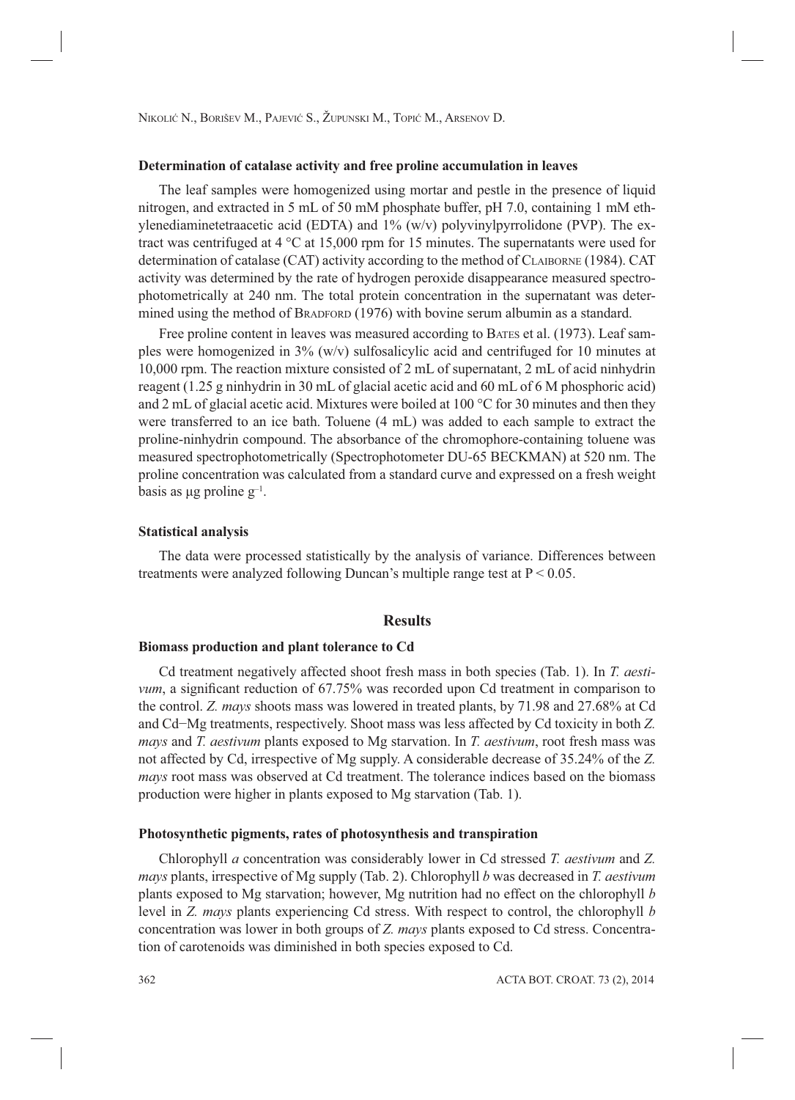### **Determination of catalase activity and free proline accumulation in leaves**

The leaf samples were homogenized using mortar and pestle in the presence of liquid nitrogen, and extracted in 5 mL of 50 mM phosphate buffer, pH 7.0, containing 1 mM ethylenediaminetetraacetic acid (EDTA) and  $1\%$  (w/v) polyvinylpyrrolidone (PVP). The extract was centrifuged at  $4 \degree C$  at 15,000 rpm for 15 minutes. The supernatants were used for determination of catalase (CAT) activity according to the method of CLAIBORNE (1984). CAT activity was determined by the rate of hydrogen peroxide disappearance measured spectrophotometrically at 240 nm. The total protein concentration in the supernatant was determined using the method of BRADFORD (1976) with bovine serum albumin as a standard.

Free proline content in leaves was measured according to BATES et al. (1973). Leaf samples were homogenized in 3% (w/v) sulfosalicylic acid and centrifuged for 10 minutes at 10,000 rpm. The reaction mixture consisted of 2 mL of supernatant, 2 mL of acid ninhydrin reagent (1.25 g ninhydrin in 30 mL of glacial acetic acid and 60 mL of 6 M phosphoric acid) and 2 mL of glacial acetic acid. Mixtures were boiled at 100 °C for 30 minutes and then they were transferred to an ice bath. Toluene (4 mL) was added to each sample to extract the proline-ninhydrin compound. The absorbance of the chromophore-containing toluene was measured spectrophotometrically (Spectrophotometer DU-65 BECKMAN) at 520 nm. The proline concentration was calculated from a standard curve and expressed on a fresh weight basis as μg proline  $g^{-1}$ .

## **Statistical analysis**

The data were processed statistically by the analysis of variance. Differences between treatments were analyzed following Duncan's multiple range test at  $P < 0.05$ .

# **Results**

#### **Biomass production and plant tolerance to Cd**

Cd treatment negatively affected shoot fresh mass in both species (Tab. 1). In *T. aestivum*, a significant reduction of 67.75% was recorded upon Cd treatment in comparison to the control. *Z. mays* shoots mass was lowered in treated plants, by 71.98 and 27.68% at Cd and Cd−Mg treatments, respectively. Shoot mass was less affected by Cd toxicity in both *Z. mays* and *T. aestivum* plants exposed to Mg starvation. In *T. aestivum*, root fresh mass was not affected by Cd, irrespective of Mg supply. A considerable decrease of 35.24% of the *Z. mays* root mass was observed at Cd treatment. The tolerance indices based on the biomass production were higher in plants exposed to Mg starvation (Tab. 1).

# **Photosynthetic pigments, rates of photosynthesis and transpiration**

Chlorophyll *a* concentration was considerably lower in Cd stressed *T. aestivum* and *Z. mays* plants, irrespective of Mg supply (Tab. 2). Chlorophyll *b* was decreased in *T. aestivum* plants exposed to Mg starvation; however, Mg nutrition had no effect on the chlorophyll *b* level in *Z. mays* plants experiencing Cd stress. With respect to control, the chlorophyll *b* concentration was lower in both groups of *Z. mays* plants exposed to Cd stress. Concentration of carotenoids was diminished in both species exposed to Cd.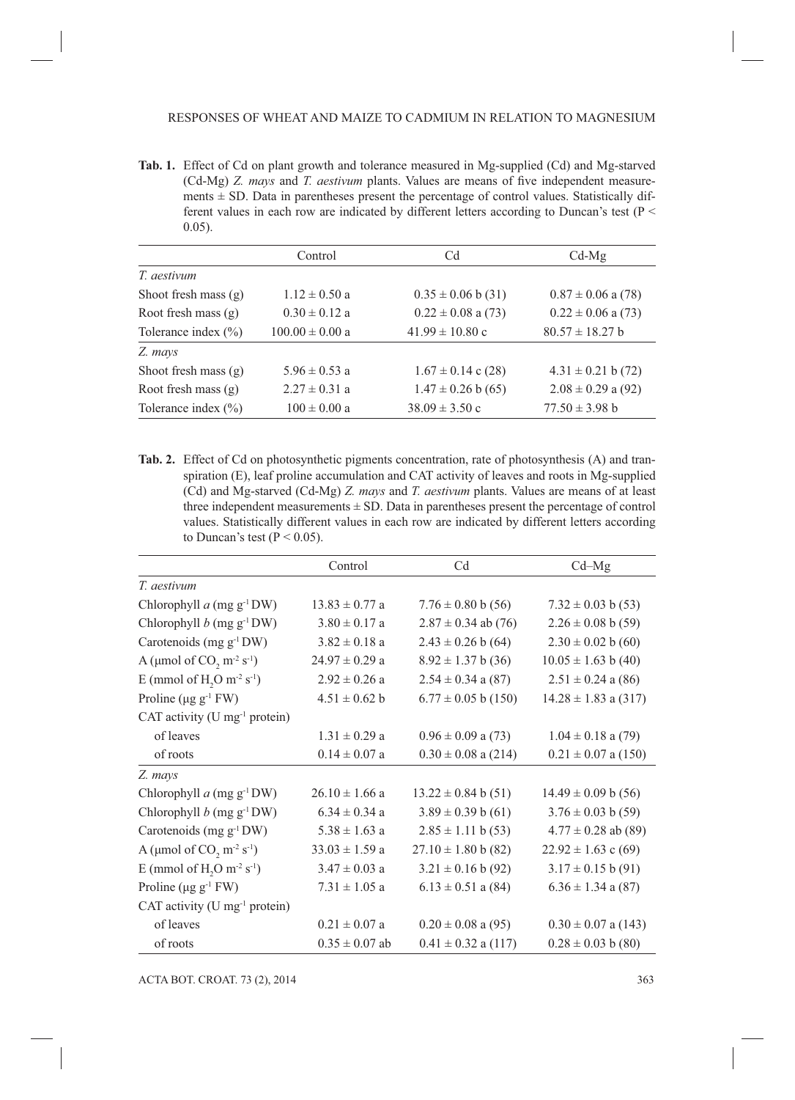**Tab. 1.** Effect of Cd on plant growth and tolerance measured in Mg-supplied (Cd) and Mg-starved (Cd-Mg) *Z. mays* and *T. aestivum* plants. Values are means of five independent measurements  $\pm$  SD. Data in parentheses present the percentage of control values. Statistically different values in each row are indicated by different letters according to Duncan's test (P < 0.05).

|                         | Control             | Cd                     | $Cd-Mg$                |
|-------------------------|---------------------|------------------------|------------------------|
| T <i>aestivum</i>       |                     |                        |                        |
| Shoot fresh mass $(g)$  | $1.12 \pm 0.50$ a   | $0.35 \pm 0.06$ b (31) | $0.87 \pm 0.06$ a (78) |
| Root fresh mass $(g)$   | $0.30 \pm 0.12$ a   | $0.22 \pm 0.08$ a (73) | $0.22 \pm 0.06$ a (73) |
| Tolerance index $(\% )$ | $100.00 \pm 0.00$ a | $41.99 \pm 10.80$ c    | $80.57 \pm 18.27$ b    |
| Z. mays                 |                     |                        |                        |
| Shoot fresh mass $(g)$  | $5.96 \pm 0.53$ a   | $1.67 \pm 0.14$ c (28) | $4.31 \pm 0.21$ b (72) |
| Root fresh mass $(g)$   | $2.27 \pm 0.31$ a   | $1.47 \pm 0.26$ b (65) | $2.08 \pm 0.29$ a (92) |
| Tolerance index $(\% )$ | $100 \pm 0.00$ a    | $38.09 \pm 3.50$ c     | $77.50 \pm 3.98$ b     |

**Tab. 2.** Effect of Cd on photosynthetic pigments concentration, rate of photosynthesis (A) and transpiration (E), leaf proline accumulation and CAT activity of leaves and roots in Mg-supplied (Cd) and Mg-starved (Cd-Mg) *Z. mays* and *T. aestivum* plants. Values are means of at least three independent measurements  $\pm$  SD. Data in parentheses present the percentage of control values. Statistically different values in each row are indicated by different letters according to Duncan's test ( $P < 0.05$ ).

|                                                     | Control            | C <sub>d</sub>          | $Cd-Mg$                  |
|-----------------------------------------------------|--------------------|-------------------------|--------------------------|
| T <i>aestivum</i>                                   |                    |                         |                          |
| Chlorophyll $a$ (mg $g^{-1}DW$ )                    | $13.83 \pm 0.77$ a | $7.76 \pm 0.80$ b (56)  | $7.32 \pm 0.03$ b (53)   |
| Chlorophyll $b$ (mg $g^{-1}DW$ )                    | $3.80 \pm 0.17$ a  | $2.87 \pm 0.34$ ab (76) | $2.26 \pm 0.08$ b (59)   |
| Carotenoids (mg g <sup>-1</sup> DW)                 | $3.82 \pm 0.18$ a  | $2.43 \pm 0.26$ b (64)  | $2.30 \pm 0.02$ b (60)   |
| A (µmol of $CO$ , m <sup>-2</sup> s <sup>-1</sup> ) | $24.97 \pm 0.29$ a | $8.92 \pm 1.37$ b (36)  | $10.05 \pm 1.63$ b (40)  |
| E (mmol of $H2O$ m <sup>-2</sup> s <sup>-1</sup> )  | $2.92 \pm 0.26$ a  | $2.54 \pm 0.34$ a (87)  | $2.51 \pm 0.24$ a (86)   |
| Proline ( $\mu$ g g <sup>-1</sup> FW)               | $4.51 \pm 0.62$ b  | $6.77 \pm 0.05$ b (150) | $14.28 \pm 1.83$ a (317) |
| CAT activity $(U \, mg^{-1} \, protein)$            |                    |                         |                          |
| of leaves                                           | $1.31 \pm 0.29$ a  | $0.96 \pm 0.09$ a (73)  | $1.04 \pm 0.18$ a (79)   |
| of roots                                            | $0.14 \pm 0.07$ a  | $0.30 \pm 0.08$ a (214) | $0.21 \pm 0.07$ a (150)  |
| Z. mays                                             |                    |                         |                          |
| Chlorophyll $a$ (mg $g^{-1}DW$ )                    | $26.10 \pm 1.66$ a | $13.22 \pm 0.84$ b (51) | $14.49 \pm 0.09$ b (56)  |
| Chlorophyll $b$ (mg $g^{-1}DW$ )                    | $6.34 \pm 0.34$ a  | $3.89 \pm 0.39$ b (61)  | $3.76 \pm 0.03$ b (59)   |
| Carotenoids (mg g <sup>-1</sup> DW)                 | $5.38 \pm 1.63$ a  | $2.85 \pm 1.11$ b (53)  | $4.77 \pm 0.28$ ab (89)  |
| A (µmol of $CO$ , m <sup>-2</sup> s <sup>-1</sup> ) | $33.03 \pm 1.59$ a | $27.10 \pm 1.80$ b (82) | $22.92 \pm 1.63$ c (69)  |
| E (mmol of $H2O$ m <sup>-2</sup> s <sup>-1</sup> )  | $3.47 \pm 0.03$ a  | $3.21 \pm 0.16$ b (92)  | $3.17 \pm 0.15$ b (91)   |
| Proline ( $\mu$ g g <sup>-1</sup> FW)               | $7.31 \pm 1.05$ a  | $6.13 \pm 0.51$ a (84)  | $6.36 \pm 1.34$ a (87)   |
| CAT activity (U mg <sup>-1</sup> protein)           |                    |                         |                          |
| of leaves                                           | $0.21 \pm 0.07$ a  | $0.20 \pm 0.08$ a (95)  | $0.30 \pm 0.07$ a (143)  |
| of roots                                            | $0.35 \pm 0.07$ ab | $0.41 \pm 0.32$ a (117) | $0.28 \pm 0.03$ b (80)   |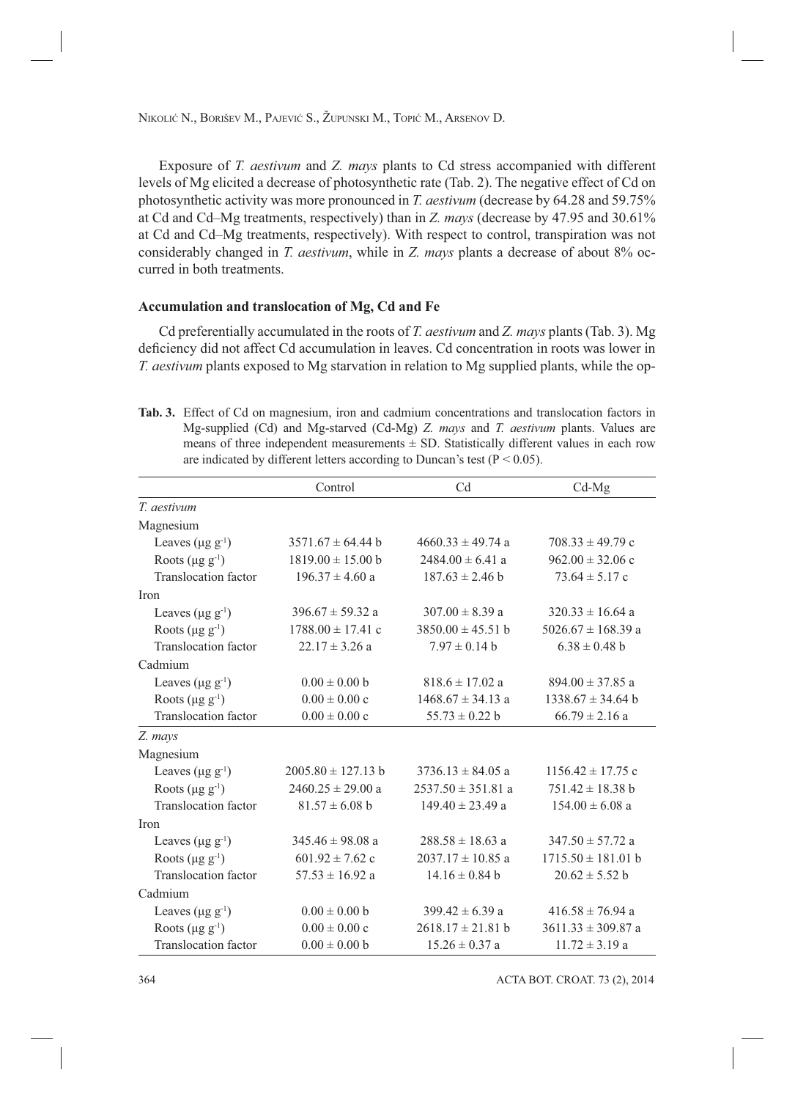Exposure of *T. aestivum* and *Z. mays* plants to Cd stress accompanied with different levels of Mg elicited a decrease of photosynthetic rate (Tab. 2). The negative effect of Cd on photosynthetic activity was more pronounced in *T. aestivum* (decrease by 64.28 and 59.75% at Cd and Cd–Mg treatments, respectively) than in *Z. mays* (decrease by 47.95 and 30.61% at Cd and Cd–Mg treatments, respectively). With respect to control, transpiration was not considerably changed in *T. aestivum*, while in *Z. mays* plants a decrease of about 8% occurred in both treatments.

# **Accumulation and translocation of Mg, Cd and Fe**

Cd preferentially accumulated in the roots of *T. aestivum* and *Z. mays* plants (Tab. 3). Mg deficiency did not affect Cd accumulation in leaves. Cd concentration in roots was lower in *T. aestivum* plants exposed to Mg starvation in relation to Mg supplied plants, while the op-

**Tab. 3.** Effect of Cd on magnesium, iron and cadmium concentrations and translocation factors in Mg-supplied (Cd) and Mg-starved (Cd-Mg) *Z. mays* and *T. aestivum* plants. Values are means of three independent measurements  $\pm$  SD. Statistically different values in each row are indicated by different letters according to Duncan's test ( $P < 0.05$ ).

|                                    | Control                | C <sub>d</sub>         | $Cd-Mg$                |
|------------------------------------|------------------------|------------------------|------------------------|
| T. aestivum                        |                        |                        |                        |
| Magnesium                          |                        |                        |                        |
| Leaves ( $\mu$ g g <sup>-1</sup> ) | $3571.67 \pm 64.44$ b  | $4660.33 \pm 49.74$ a  | $708.33 \pm 49.79$ c   |
| Roots ( $\mu$ g g <sup>-1</sup> )  | $1819.00 \pm 15.00$ b  | $2484.00 \pm 6.41$ a   | $962.00 \pm 32.06$ c   |
| Translocation factor               | $196.37 \pm 4.60$ a    | $187.63 \pm 2.46$ b    | $73.64 \pm 5.17$ c     |
| Iron                               |                        |                        |                        |
| Leaves ( $\mu$ g g <sup>-1</sup> ) | $396.67 \pm 59.32$ a   | $307.00 \pm 8.39$ a    | $320.33 \pm 16.64$ a   |
| Roots ( $\mu$ g g <sup>-1</sup> )  | $1788.00 \pm 17.41$ c  | $3850.00 \pm 45.51$ b  | $5026.67 \pm 168.39$ a |
| Translocation factor               | $22.17 \pm 3.26$ a     | $7.97 \pm 0.14$ b      | $6.38 \pm 0.48$ b      |
| Cadmium                            |                        |                        |                        |
| Leaves ( $\mu$ g g <sup>-1</sup> ) | $0.00 \pm 0.00$ b      | $818.6 \pm 17.02$ a    | $894.00 \pm 37.85$ a   |
| Roots ( $\mu$ g g <sup>-1</sup> )  | $0.00 \pm 0.00$ c      | $1468.67 \pm 34.13$ a  | $1338.67 \pm 34.64$ b  |
| Translocation factor               | $0.00 \pm 0.00$ c      | $55.73 \pm 0.22$ b     | $66.79 \pm 2.16$ a     |
| Z. mays                            |                        |                        |                        |
| Magnesium                          |                        |                        |                        |
| Leaves $(\mu g g^{-1})$            | $2005.80 \pm 127.13$ b | $3736.13 \pm 84.05$ a  | $1156.42 \pm 17.75$ c  |
| Roots ( $\mu$ g g <sup>-1</sup> )  | $2460.25 \pm 29.00$ a  | $2537.50 \pm 351.81$ a | $751.42 \pm 18.38$ b   |
| Translocation factor               | $81.57 \pm 6.08$ b     | $149.40 \pm 23.49$ a   | $154.00 \pm 6.08$ a    |
| Iron                               |                        |                        |                        |
| Leaves ( $\mu$ g g <sup>-1</sup> ) | $345.46 \pm 98.08$ a   | $288.58 \pm 18.63$ a   | $347.50 \pm 57.72$ a   |
| Roots ( $\mu$ g g <sup>-1</sup> )  | $601.92 \pm 7.62$ c    | $2037.17 \pm 10.85$ a  | $1715.50 \pm 181.01$ b |
| Translocation factor               | $57.53 \pm 16.92$ a    | $14.16 \pm 0.84$ b     | $20.62 \pm 5.52 b$     |
| Cadmium                            |                        |                        |                        |
| Leaves ( $\mu$ g g <sup>-1</sup> ) | $0.00 \pm 0.00 b$      | 399.42 $\pm$ 6.39 a    | $416.58 \pm 76.94$ a   |
| Roots ( $\mu$ g g <sup>-1</sup> )  | $0.00 \pm 0.00$ c      | $2618.17 \pm 21.81$ b  | $3611.33 \pm 309.87$ a |
| Translocation factor               | $0.00 \pm 0.00$ b      | $15.26 \pm 0.37$ a     | $11.72 \pm 3.19$ a     |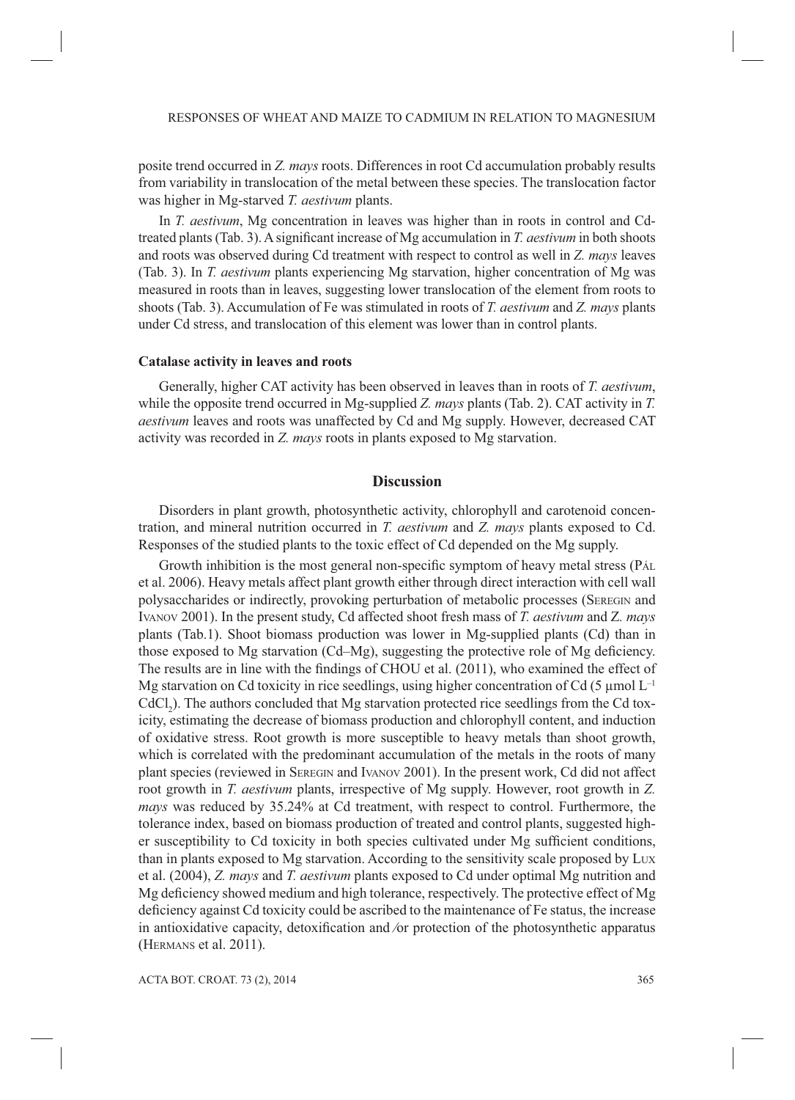posite trend occurred in *Z. mays* roots. Differences in root Cd accumulation probably results from variability in translocation of the metal between these species. The translocation factor was higher in Mg-starved *T. aestivum* plants.

In *T. aestivum*, Mg concentration in leaves was higher than in roots in control and Cdtreated plants (Tab. 3). A significant increase of Mg accumulation in *T. aestivum* in both shoots and roots was observed during Cd treatment with respect to control as well in *Z. mays* leaves (Tab. 3). In *T. aestivum* plants experiencing Mg starvation, higher concentration of Mg was measured in roots than in leaves, suggesting lower translocation of the element from roots to shoots (Tab. 3). Accumulation of Fe was stimulated in roots of *T. aestivum* and *Z. mays* plants under Cd stress, and translocation of this element was lower than in control plants.

#### **Catalase activity in leaves and roots**

Generally, higher CAT activity has been observed in leaves than in roots of *T. aestivum*, while the opposite trend occurred in Mg-supplied *Z. mays* plants (Tab. 2). CAT activity in *T. aestivum* leaves and roots was unaffected by Cd and Mg supply. However, decreased CAT activity was recorded in *Z. mays* roots in plants exposed to Mg starvation.

## **Discussion**

Disorders in plant growth, photosynthetic activity, chlorophyll and carotenoid concentration, and mineral nutrition occurred in *T. aestivum* and *Z. mays* plants exposed to Cd. Responses of the studied plants to the toxic effect of Cd depended on the Mg supply.

Growth inhibition is the most general non-specifi c symptom of heavy metal stress (PÁL et al. 2006). Heavy metals affect plant growth either through direct interaction with cell wall polysaccharides or indirectly, provoking perturbation of metabolic processes (SEREGIN and IVANOV 2001). In the present study, Cd affected shoot fresh mass of *T. aestivum* and Z*. mays*  plants (Tab.1). Shoot biomass production was lower in Mg-supplied plants (Cd) than in those exposed to Mg starvation  $(Cd-Mg)$ , suggesting the protective role of Mg deficiency. The results are in line with the findings of CHOU et al. (2011), who examined the effect of Mg starvation on Cd toxicity in rice seedlings, using higher concentration of Cd (5  $\mu$ mol L<sup>-1</sup>  $CdCl<sub>2</sub>$ ). The authors concluded that Mg starvation protected rice seedlings from the Cd toxicity, estimating the decrease of biomass production and chlorophyll content, and induction of oxidative stress. Root growth is more susceptible to heavy metals than shoot growth, which is correlated with the predominant accumulation of the metals in the roots of many plant species (reviewed in SEREGIN and IVANOV 2001). In the present work, Cd did not affect root growth in *T. aestivum* plants, irrespective of Mg supply. However, root growth in *Z. mays* was reduced by 35.24% at Cd treatment, with respect to control. Furthermore, the tolerance index, based on biomass production of treated and control plants, suggested higher susceptibility to Cd toxicity in both species cultivated under Mg sufficient conditions, than in plants exposed to Mg starvation. According to the sensitivity scale proposed by LUX et al. (2004), *Z. mays* and *T. aestivum* plants exposed to Cd under optimal Mg nutrition and Mg deficiency showed medium and high tolerance, respectively. The protective effect of Mg deficiency against Cd toxicity could be ascribed to the maintenance of Fe status, the increase in antioxidative capacity, detoxification and  $\alpha$  protection of the photosynthetic apparatus (HERMANS et al. 2011).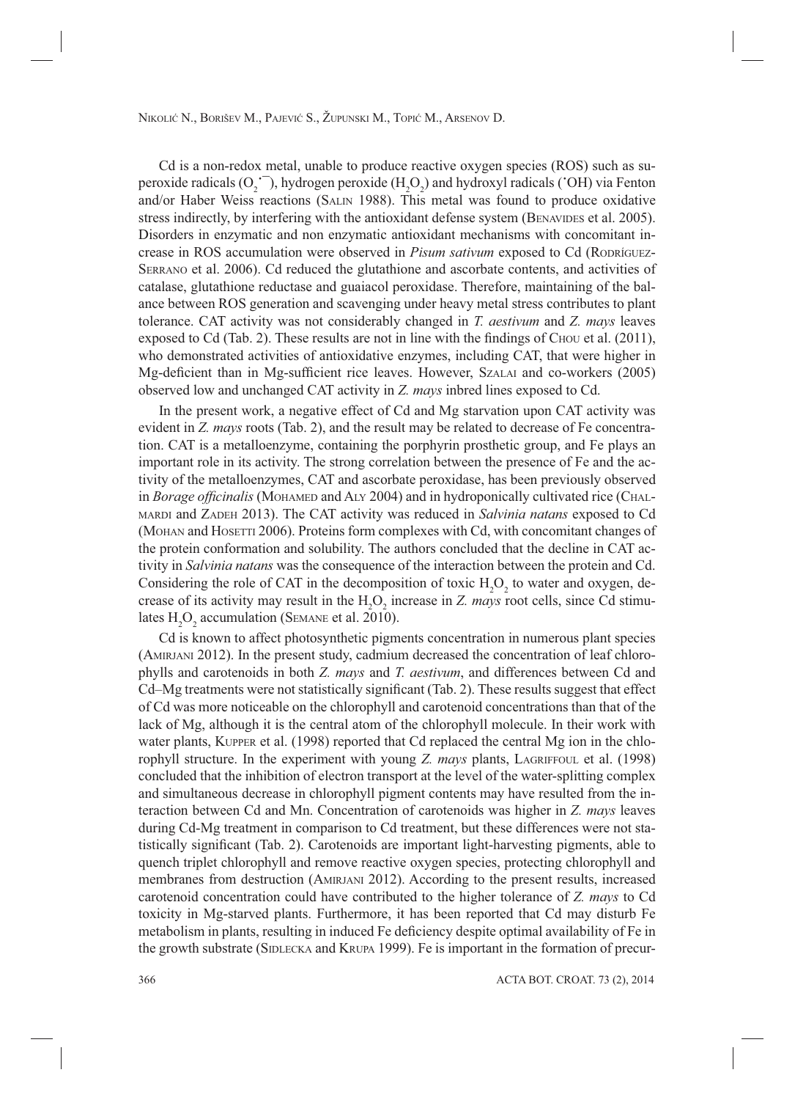Cd is a non-redox metal, unable to produce reactive oxygen species (ROS) such as superoxide radicals (O<sub>2</sub><sup>•</sup>), hydrogen peroxide (H<sub>2</sub>O<sub>2</sub>) and hydroxyl radicals (**OH**) via Fenton and/or Haber Weiss reactions (SALIN 1988). This metal was found to produce oxidative stress indirectly, by interfering with the antioxidant defense system (BENAVIDES et al. 2005). Disorders in enzymatic and non enzymatic antioxidant mechanisms with concomitant increase in ROS accumulation were observed in *Pisum sativum* exposed to Cd (RODRÍGUEZ-SERRANO et al. 2006). Cd reduced the glutathione and ascorbate contents, and activities of catalase, glutathione reductase and guaiacol peroxidase. Therefore, maintaining of the balance between ROS generation and scavenging under heavy metal stress contributes to plant tolerance. CAT activity was not considerably changed in *T. aestivum* and *Z. mays* leaves exposed to Cd (Tab. 2). These results are not in line with the findings of CHOU et al. (2011), who demonstrated activities of antioxidative enzymes, including CAT, that were higher in Mg-deficient than in Mg-sufficient rice leaves. However, SZALAI and co-workers (2005) observed low and unchanged CAT activity in *Z. mays* inbred lines exposed to Cd.

In the present work, a negative effect of Cd and Mg starvation upon CAT activity was evident in *Z. mays* roots (Tab. 2), and the result may be related to decrease of Fe concentration. CAT is a metalloenzyme, containing the porphyrin prosthetic group, and Fe plays an important role in its activity. The strong correlation between the presence of Fe and the activity of the metalloenzymes, CAT and ascorbate peroxidase, has been previously observed in *Borage officinalis* (MOHAMED and ALY 2004) and in hydroponically cultivated rice (CHAL-MARDI and ZADEH 2013). The CAT activity was reduced in *Salvinia natans* exposed to Cd (MOHAN and HOSETTI 2006). Proteins form complexes with Cd, with concomitant changes of the protein conformation and solubility. The authors concluded that the decline in CAT activity in *Salvinia natans* was the consequence of the interaction between the protein and Cd. Considering the role of CAT in the decomposition of toxic  $H_2O_2$  to water and oxygen, decrease of its activity may result in the  $H_2O_2$  increase in *Z. mays* root cells, since Cd stimulates  $H_2O_2$  accumulation (SEMANE et al. 2010).

Cd is known to affect photosynthetic pigments concentration in numerous plant species (AMIRJANI 2012). In the present study, cadmium decreased the concentration of leaf chlorophylls and carotenoids in both *Z. mays* and *T. aestivum*, and differences between Cd and Cd–Mg treatments were not statistically significant (Tab. 2). These results suggest that effect of Cd was more noticeable on the chlorophyll and carotenoid concentrations than that of the lack of Mg, although it is the central atom of the chlorophyll molecule. In their work with water plants, KUPPER et al. (1998) reported that Cd replaced the central Mg ion in the chlorophyll structure. In the experiment with young *Z. mays* plants, LAGRIFFOUL et al. (1998) concluded that the inhibition of electron transport at the level of the water-splitting complex and simultaneous decrease in chlorophyll pigment contents may have resulted from the interaction between Cd and Mn. Concentration of carotenoids was higher in *Z. mays* leaves during Cd-Mg treatment in comparison to Cd treatment, but these differences were not statistically significant (Tab. 2). Carotenoids are important light-harvesting pigments, able to quench triplet chlorophyll and remove reactive oxygen species, protecting chlorophyll and membranes from destruction (AMIRJANI 2012). According to the present results, increased carotenoid concentration could have contributed to the higher tolerance of *Z. mays* to Cd toxicity in Mg-starved plants. Furthermore, it has been reported that Cd may disturb Fe metabolism in plants, resulting in induced Fe deficiency despite optimal availability of Fe in the growth substrate (SIDLECKA and KRUPA 1999). Fe is important in the formation of precur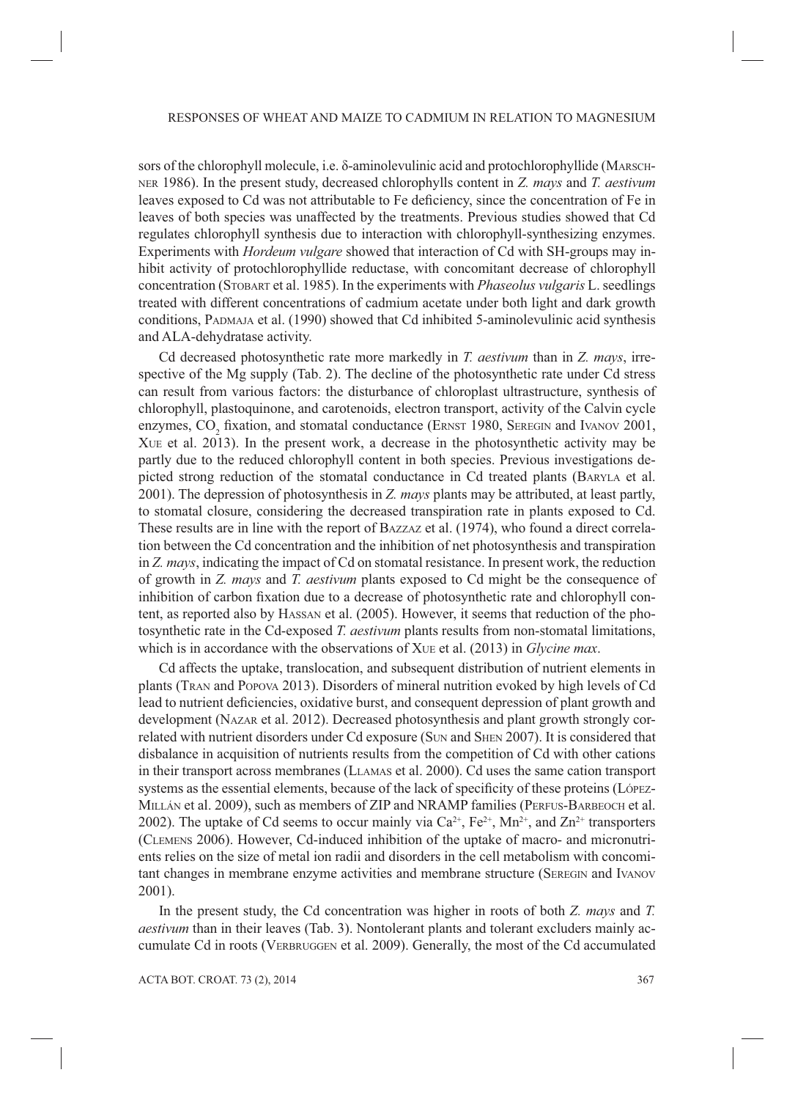sors of the chlorophyll molecule, i.e. δ-aminolevulinic acid and protochlorophyllide (MARSCH-NER 1986). In the present study, decreased chlorophylls content in *Z. mays* and *T. aestivum* leaves exposed to Cd was not attributable to Fe deficiency, since the concentration of Fe in leaves of both species was unaffected by the treatments. Previous studies showed that Cd regulates chlorophyll synthesis due to interaction with chlorophyll-synthesizing enzymes. Experiments with *Hordeum vulgare* showed that interaction of Cd with SH-groups may inhibit activity of protochlorophyllide reductase, with concomitant decrease of chlorophyll concentration (STOBART et al. 1985). In the experiments with *Phaseolus vulgaris* L. seedlings treated with different concentrations of cadmium acetate under both light and dark growth conditions, PADMAJA et al. (1990) showed that Cd inhibited 5-aminolevulinic acid synthesis and ALA-dehydratase activity.

Cd decreased photosynthetic rate more markedly in *T. aestivum* than in *Z. mays*, irrespective of the Mg supply (Tab. 2). The decline of the photosynthetic rate under Cd stress can result from various factors: the disturbance of chloroplast ultrastructure, synthesis of chlorophyll, plastoquinone, and carotenoids, electron transport, activity of the Calvin cycle enzymes,  $CO_2$  fixation, and stomatal conductance (ERNST 1980, SEREGIN and IVANOV 2001, XUE et al. 2013). In the present work, a decrease in the photosynthetic activity may be partly due to the reduced chlorophyll content in both species. Previous investigations depicted strong reduction of the stomatal conductance in Cd treated plants (BARYLA et al. 2001). The depression of photosynthesis in *Z. mays* plants may be attributed, at least partly, to stomatal closure, considering the decreased transpiration rate in plants exposed to Cd. These results are in line with the report of BAZZAZ et al. (1974), who found a direct correlation between the Cd concentration and the inhibition of net photosynthesis and transpiration in *Z. mays*, indicating the impact of Cd on stomatal resistance. In present work, the reduction of growth in *Z. mays* and *T. aestivum* plants exposed to Cd might be the consequence of inhibition of carbon fixation due to a decrease of photosynthetic rate and chlorophyll content, as reported also by HASSAN et al. (2005). However, it seems that reduction of the photosynthetic rate in the Cd-exposed *T. aestivum* plants results from non-stomatal limitations, which is in accordance with the observations of Xue et al. (2013) in *Glycine max*.

Cd affects the uptake, translocation, and subsequent distribution of nutrient elements in plants (TRAN and POPOVA 2013). Disorders of mineral nutrition evoked by high levels of Cd lead to nutrient deficiencies, oxidative burst, and consequent depression of plant growth and development (NAZAR et al. 2012). Decreased photosynthesis and plant growth strongly correlated with nutrient disorders under Cd exposure (SUN and SHEN 2007). It is considered that disbalance in acquisition of nutrients results from the competition of Cd with other cations in their transport across membranes (LLAMAS et al. 2000). Cd uses the same cation transport systems as the essential elements, because of the lack of specificity of these proteins (LóPEZ-MILLÁN et al. 2009), such as members of ZIP and NRAMP families (PERFUS-BARBEOCH et al. 2002). The uptake of Cd seems to occur mainly via  $Ca^{2+}$ ,  $Fe^{2+}$ ,  $Mn^{2+}$ , and  $Zn^{2+}$  transporters (CLEMENS 2006). However, Cd-induced inhibition of the uptake of macro- and micronutrients relies on the size of metal ion radii and disorders in the cell metabolism with concomitant changes in membrane enzyme activities and membrane structure (SEREGIN and IVANOV 2001).

In the present study, the Cd concentration was higher in roots of both *Z. mays* and *T. aestivum* than in their leaves (Tab. 3). Nontolerant plants and tolerant excluders mainly accumulate Cd in roots (VERBRUGGEN et al. 2009). Generally, the most of the Cd accumulated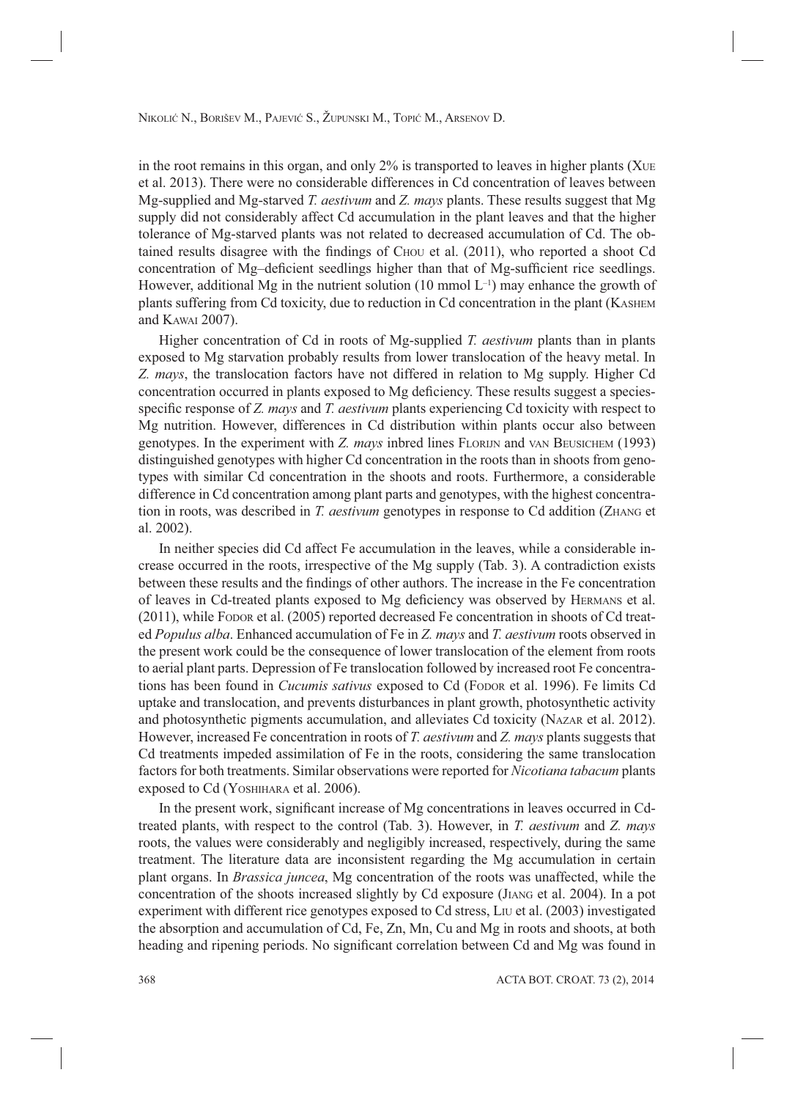in the root remains in this organ, and only  $2\%$  is transported to leaves in higher plants (XUE et al. 2013). There were no considerable differences in Cd concentration of leaves between Mg-supplied and Mg-starved *T. aestivum* and *Z. mays* plants. These results suggest that Mg supply did not considerably affect Cd accumulation in the plant leaves and that the higher tolerance of Mg-starved plants was not related to decreased accumulation of Cd. The obtained results disagree with the findings of CHOU et al.  $(2011)$ , who reported a shoot Cd concentration of Mg–deficient seedlings higher than that of Mg-sufficient rice seedlings. However, additional Mg in the nutrient solution (10 mmol  $L^{-1}$ ) may enhance the growth of plants suffering from Cd toxicity, due to reduction in Cd concentration in the plant (KASHEM and KAWAI 2007).

Higher concentration of Cd in roots of Mg-supplied *T. aestivum* plants than in plants exposed to Mg starvation probably results from lower translocation of the heavy metal. In *Z. mays*, the translocation factors have not differed in relation to Mg supply. Higher Cd concentration occurred in plants exposed to Mg deficiency. These results suggest a speciesspecific response of *Z. mays* and *T. aestivum* plants experiencing Cd toxicity with respect to Mg nutrition. However, differences in Cd distribution within plants occur also between genotypes. In the experiment with *Z. mays* inbred lines FLORIJN and VAN BEUSICHEM (1993) distinguished genotypes with higher Cd concentration in the roots than in shoots from genotypes with similar Cd concentration in the shoots and roots. Furthermore, a considerable difference in Cd concentration among plant parts and genotypes, with the highest concentration in roots, was described in *T. aestivum* genotypes in response to Cd addition (ZHANG et al. 2002).

In neither species did Cd affect Fe accumulation in the leaves, while a considerable increase occurred in the roots, irrespective of the Mg supply (Tab. 3). A contradiction exists between these results and the findings of other authors. The increase in the Fe concentration of leaves in Cd-treated plants exposed to Mg deficiency was observed by HERMANS et al. (2011), while FODOR et al. (2005) reported decreased Fe concentration in shoots of Cd treated *Populus alba*. Enhanced accumulation of Fe in *Z. mays* and *T. aestivum* roots observed in the present work could be the consequence of lower translocation of the element from roots to aerial plant parts. Depression of Fe translocation followed by increased root Fe concentrations has been found in *Cucumis sativus* exposed to Cd (Fobor et al. 1996). Fe limits Cd uptake and translocation, and prevents disturbances in plant growth, photosynthetic activity and photosynthetic pigments accumulation, and alleviates Cd toxicity (NAZAR et al. 2012). However, increased Fe concentration in roots of *T. aestivum* and *Z. mays* plants suggests that Cd treatments impeded assimilation of Fe in the roots, considering the same translocation factors for both treatments. Similar observations were reported for *Nicotiana tabacum* plants exposed to Cd (YOSHIHARA et al. 2006).

In the present work, significant increase of Mg concentrations in leaves occurred in Cdtreated plants, with respect to the control (Tab. 3). However, in *T. aestivum* and *Z. mays* roots, the values were considerably and negligibly increased, respectively, during the same treatment. The literature data are inconsistent regarding the Mg accumulation in certain plant organs. In *Brassica juncea*, Mg concentration of the roots was unaffected, while the concentration of the shoots increased slightly by Cd exposure (JIANG et al. 2004). In a pot experiment with different rice genotypes exposed to Cd stress, LIU et al. (2003) investigated the absorption and accumulation of Cd, Fe, Zn, Mn, Cu and Mg in roots and shoots, at both heading and ripening periods. No significant correlation between Cd and Mg was found in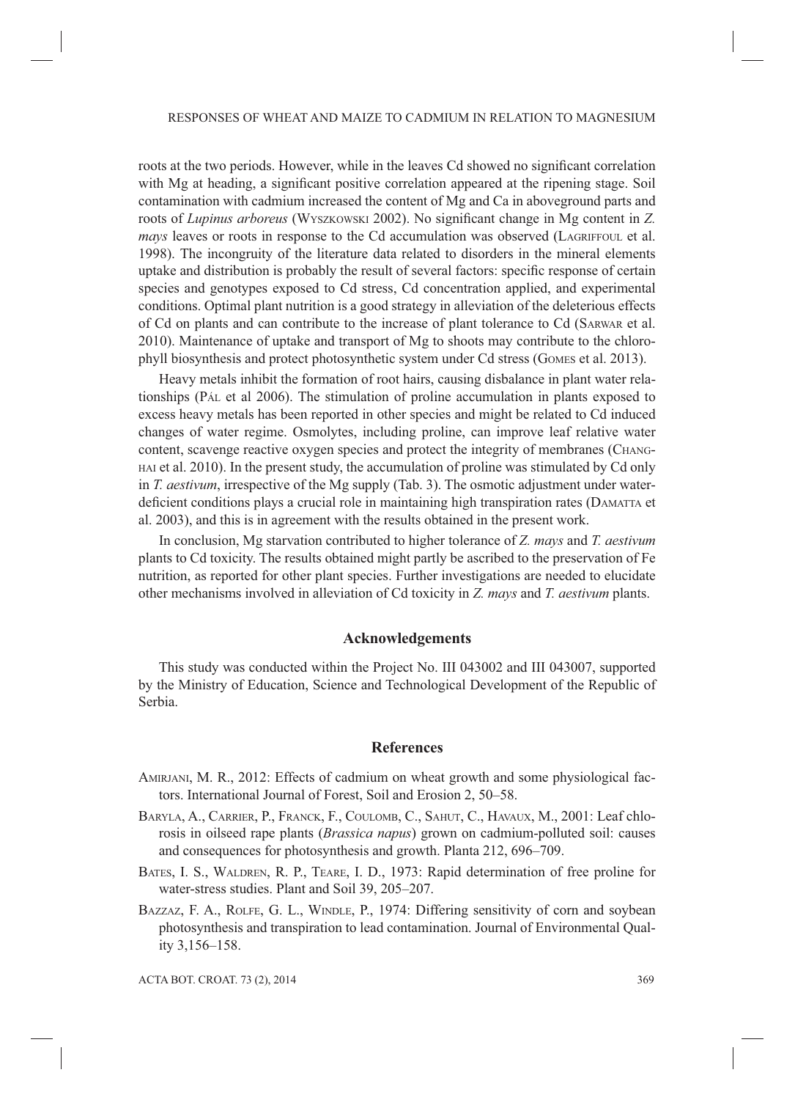roots at the two periods. However, while in the leaves Cd showed no significant correlation with Mg at heading, a significant positive correlation appeared at the ripening stage. Soil contamination with cadmium increased the content of Mg and Ca in aboveground parts and roots of *Lupinus arboreus* (WYSZKOWSKI 2002). No significant change in Mg content in *Z*. *mays* leaves or roots in response to the Cd accumulation was observed (LAGRIFFOUL et al. 1998). The incongruity of the literature data related to disorders in the mineral elements uptake and distribution is probably the result of several factors: specific response of certain species and genotypes exposed to Cd stress, Cd concentration applied, and experimental conditions. Optimal plant nutrition is a good strategy in alleviation of the deleterious effects of Cd on plants and can contribute to the increase of plant tolerance to Cd (SARWAR et al. 2010). Maintenance of uptake and transport of Mg to shoots may contribute to the chlorophyll biosynthesis and protect photosynthetic system under Cd stress (GOMES et al. 2013).

Heavy metals inhibit the formation of root hairs, causing disbalance in plant water relationships (PÁL et al 2006). The stimulation of proline accumulation in plants exposed to excess heavy metals has been reported in other species and might be related to Cd induced changes of water regime. Osmolytes, including proline, can improve leaf relative water content, scavenge reactive oxygen species and protect the integrity of membranes (CHANG-HAI et al. 2010). In the present study, the accumulation of proline was stimulated by Cd only in *T. aestivum*, irrespective of the Mg supply (Tab. 3). The osmotic adjustment under waterdeficient conditions plays a crucial role in maintaining high transpiration rates (DAMATTA et al. 2003), and this is in agreement with the results obtained in the present work.

In conclusion, Mg starvation contributed to higher tolerance of *Z. mays* and *T. aestivum* plants to Cd toxicity. The results obtained might partly be ascribed to the preservation of Fe nutrition, as reported for other plant species. Further investigations are needed to elucidate other mechanisms involved in alleviation of Cd toxicity in *Z. mays* and *T. aestivum* plants.

## **Acknowledgements**

This study was conducted within the Project No. III 043002 and III 043007, supported by the Ministry of Education, Science and Technological Development of the Republic of Serbia.

# **References**

- AMIRJANI, М. R., 2012: Effects of cadmium on wheat growth and some physiological factors. International Journal of Forest, Soil and Erosion 2, 50–58.
- BARYLA, A., CARRIER, P., FRANCK, F., COULOMB, C., SAHUT, C., HAVAUX, M., 2001: Leaf chlorosis in oilseed rape plants (*Brassica napus*) grown on cadmium-polluted soil: causes and consequences for photosynthesis and growth. Planta 212, 696–709.
- BATES, I. S., WALDREN, R. P., TEARE, I. D., 1973: Rapid determination of free proline for water-stress studies. Plant and Soil 39, 205–207.
- BAZZAZ, F. A., ROLFE, G. L., WINDLE, P., 1974: Differing sensitivity of corn and soybean photosynthesis and transpiration to lead contamination. Journal of Environmental Quality 3,156–158.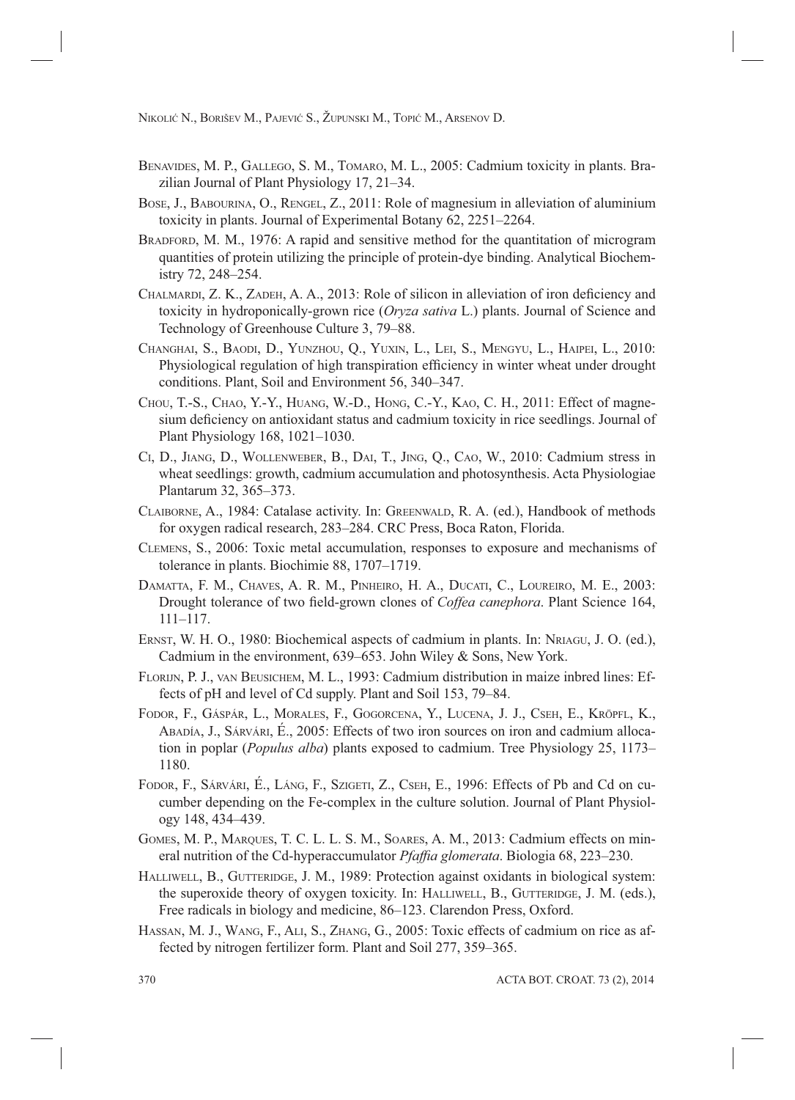- BENAVIDES, M. P., GALLEGO, S. M., TOMARO, M. L., 2005: Cadmium toxicity in plants. Brazilian Journal of Plant Physiology 17, 21–34.
- BOSE, J., BABOURINA, O., RENGEL, Z., 2011: Role of magnesium in alleviation of aluminium toxicity in plants. Journal of Experimental Botany 62, 2251–2264.
- BRADFORD, M. M., 1976: A rapid and sensitive method for the quantitation of microgram quantities of protein utilizing the principle of protein-dye binding. Analytical Biochemistry 72, 248–254.
- CHALMARDI, Z. K., ZADEH, A. A., 2013: Role of silicon in alleviation of iron deficiency and toxicity in hydroponically-grown rice (*Oryza sativa* L.) plants. Journal of Science and Technology of Greenhouse Culture 3, 79–88.
- CHANGHAI, S., BAODI, D., YUNZHOU, Q., YUXIN, L., LEI, S., MENGYU, L., HAIPEI, L., 2010: Physiological regulation of high transpiration efficiency in winter wheat under drought conditions. Plant, Soil and Environment 56, 340–347.
- CHOU, T.-S., CHAO, Y.-Y., HUANG, W.-D., HONG, C.-Y., KAO, C. H., 2011: Effect of magnesium deficiency on antioxidant status and cadmium toxicity in rice seedlings. Journal of Plant Physiology 168, 1021–1030.
- CI, D., JIANG, D., WOLLENWEBER, B., DAI, T., JING, Q., CAO, W., 2010: Cadmium stress in wheat seedlings: growth, cadmium accumulation and photosynthesis. Acta Physiologiae Plantarum 32, 365–373.
- CLAIBORNE, A., 1984: Catalase activity. In: GREENWALD, R. A. (ed.), Handbook of methods for oxygen radical research, 283–284. CRC Press, Boca Raton, Florida.
- CLEMENS, S., 2006: Toxic metal accumulation, responses to exposure and mechanisms of tolerance in plants. Biochimie 88, 1707–1719.
- DAMATTA, F. M., CHAVES, A. R. M., PINHEIRO, H. A., DUCATI, C., LOUREIRO, M. E., 2003: Drought tolerance of two field-grown clones of *Coffea canephora*. Plant Science 164, 111–117.
- ERNST, W. H. O., 1980: Biochemical aspects of cadmium in plants. In: NRIAGU, J. O. (ed.), Cadmium in the environment, 639–653. John Wiley & Sons, New York.
- FLORIJN, P. J., VAN BEUSICHEM, M. L., 1993: Cadmium distribution in maize inbred lines: Effects of pH and level of Cd supply. Plant and Soil 153, 79–84.
- FODOR, F., GÁSPÁR, L., MORALES, F., GOGORCENA, Y., LUCENA, J. J., CSEH, E., KRÖPFL, K., ABADÍA, J., SÁRVÁRI, É., 2005: Effects of two iron sources on iron and cadmium allocation in poplar (*Populus alba*) plants exposed to cadmium. Tree Physiology 25, 1173– 1180.
- FODOR, F., SÁRVÁRI, É., LÁNG, F., SZIGETI, Z., CSEH, E., 1996: Effects of Pb and Cd on cucumber depending on the Fe-complex in the culture solution. Journal of Plant Physiology 148, 434–439.
- GOMES, M. P., MARQUES, T. C. L. L. S. M., SOARES, A. M., 2013: Cadmium effects on mineral nutrition of the Cd-hyperaccumulator *Pfaffia glomerata*. Biologia 68, 223–230.
- HALLIWELL, B., GUTTERIDGE, J. M., 1989: Protection against oxidants in biological system: the superoxide theory of oxygen toxicity. In: HALLIWELL, B., GUTTERIDGE, J. M. (eds.), Free radicals in biology and medicine, 86–123. Clarendon Press, Oxford.
- HASSAN, M. J., WANG, F., ALI, S., ZHANG, G., 2005: Toxic effects of cadmium on rice as affected by nitrogen fertilizer form. Plant and Soil 277, 359–365.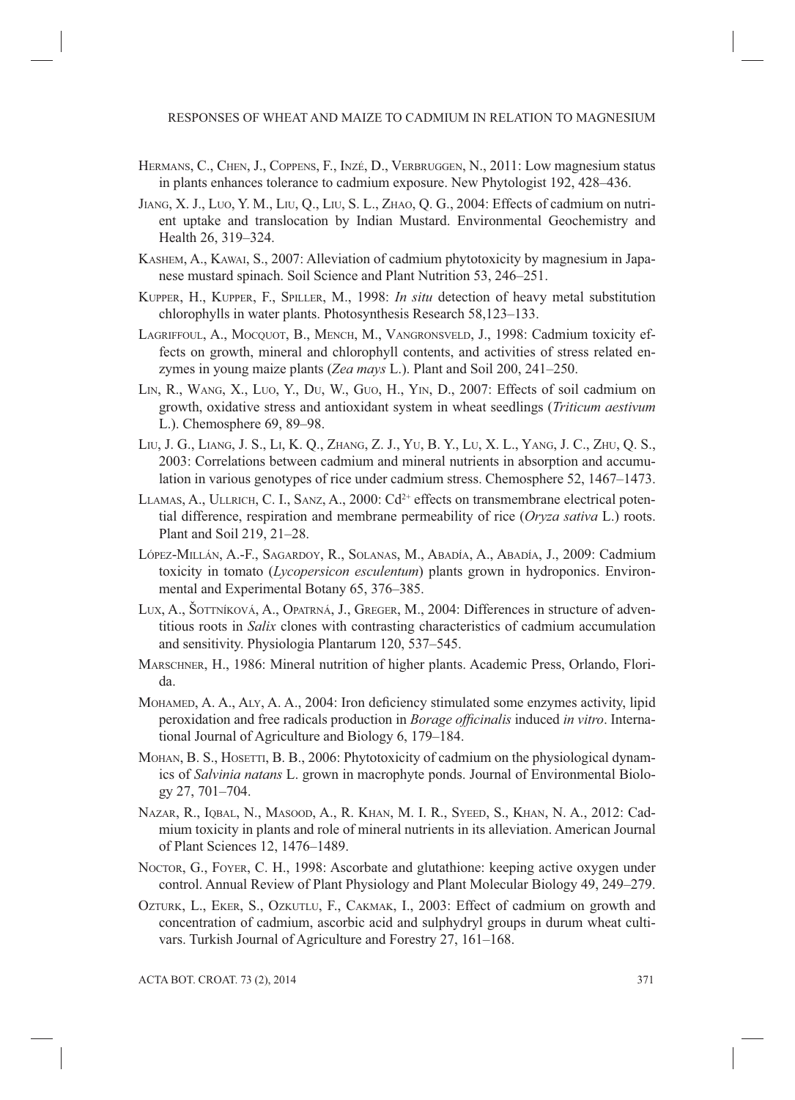- HERMANS, C., CHEN, J., COPPENS, F., INZÉ, D., VERBRUGGEN, N., 2011: Low magnesium status in plants enhances tolerance to cadmium exposure. New Phytologist 192, 428–436.
- JIANG, X. J., LUO, Y. M., LIU, Q., LIU, S. L., ZHAO, Q. G., 2004: Effects of cadmium on nutrient uptake and translocation by Indian Mustard. Environmental Geochemistry and Health 26, 319–324.
- KASHEM, A., KAWAI, S., 2007: Alleviation of cadmium phytotoxicity by magnesium in Japanese mustard spinach. Soil Science and Plant Nutrition 53, 246–251.
- KUPPER, H., KUPPER, F., SPILLER, M., 1998: *In situ* detection of heavy metal substitution chlorophylls in water plants. Photosynthesis Research 58,123–133.
- LAGRIFFOUL, A., MOCQUOT, B., MENCH, M., VANGRONSVELD, J., 1998: Cadmium toxicity effects on growth, mineral and chlorophyll contents, and activities of stress related enzymes in young maize plants (*Zea mays* L.). Plant and Soil 200, 241–250.
- LIN, R., WANG, X., LUO, Y., DU, W., GUO, H., YIN, D., 2007: Effects of soil cadmium on growth, oxidative stress and antioxidant system in wheat seedlings (*Triticum aestivum* L.). Chemosphere 69, 89–98.
- LIU, J. G., LIANG, J. S., LI, K. Q., ZHANG, Z. J., YU, B. Y., LU, X. L., YANG, J. C., ZHU, Q. S., 2003: Correlations between cadmium and mineral nutrients in absorption and accumulation in various genotypes of rice under cadmium stress. Chemosphere 52, 1467–1473.
- LLAMAS, A., ULLRICH, C. I., SANZ, A., 2000: Cd<sup>2+</sup> effects on transmembrane electrical potential difference, respiration and membrane permeability of rice (*Oryza sativa* L.) roots. Plant and Soil 219, 21–28.
- LÓPEZ-MILLÁN, A.-F., SAGARDOY, R., SOLANAS, M., ABADÍA, A., ABADÍA, J., 2009: Cadmium toxicity in tomato (*Lycopersicon esculentum*) plants grown in hydroponics. Environmental and Experimental Botany 65, 376–385.
- LUX, A., ŠOTTNÍKOVÁ, A., OPATRNÁ, J., GREGER, M., 2004: Differences in structure of adventitious roots in *Salix* clones with contrasting characteristics of cadmium accumulation and sensitivity. Physiologia Plantarum 120, 537–545.
- MARSCHNER, H., 1986: Mineral nutrition of higher plants. Academic Press, Orlando, Florida.
- MOHAMED, A. A., ALY, A. A., 2004: Iron deficiency stimulated some enzymes activity, lipid peroxidation and free radicals production in *Borage officinalis* induced *in vitro*. International Journal of Agriculture and Biology 6, 179–184.
- MOHAN, B. S., HOSETTI, B. B., 2006: Phytotoxicity of cadmium on the physiological dynamics of *Salvinia natans* L. grown in macrophyte ponds. Journal of Environmental Biology 27, 701–704.
- NAZAR, R., IQBAL, N., MASOOD, A., R. KHAN, M. I. R., SYEED, S., KHAN, N. A., 2012: Cadmium toxicity in plants and role of mineral nutrients in its alleviation. American Journal of Plant Sciences 12, 1476–1489.
- NOCTOR, G., FOYER, C. H., 1998: Ascorbate and glutathione: keeping active oxygen under control. Annual Review of Plant Physiology and Plant Molecular Biology 49, 249–279.
- OZTURK, L., EKER, S., OZKUTLU, F., CAKMAK, I., 2003: Effect of cadmium on growth and concentration of cadmium, ascorbic acid and sulphydryl groups in durum wheat cultivars. Turkish Journal of Agriculture and Forestry 27, 161–168.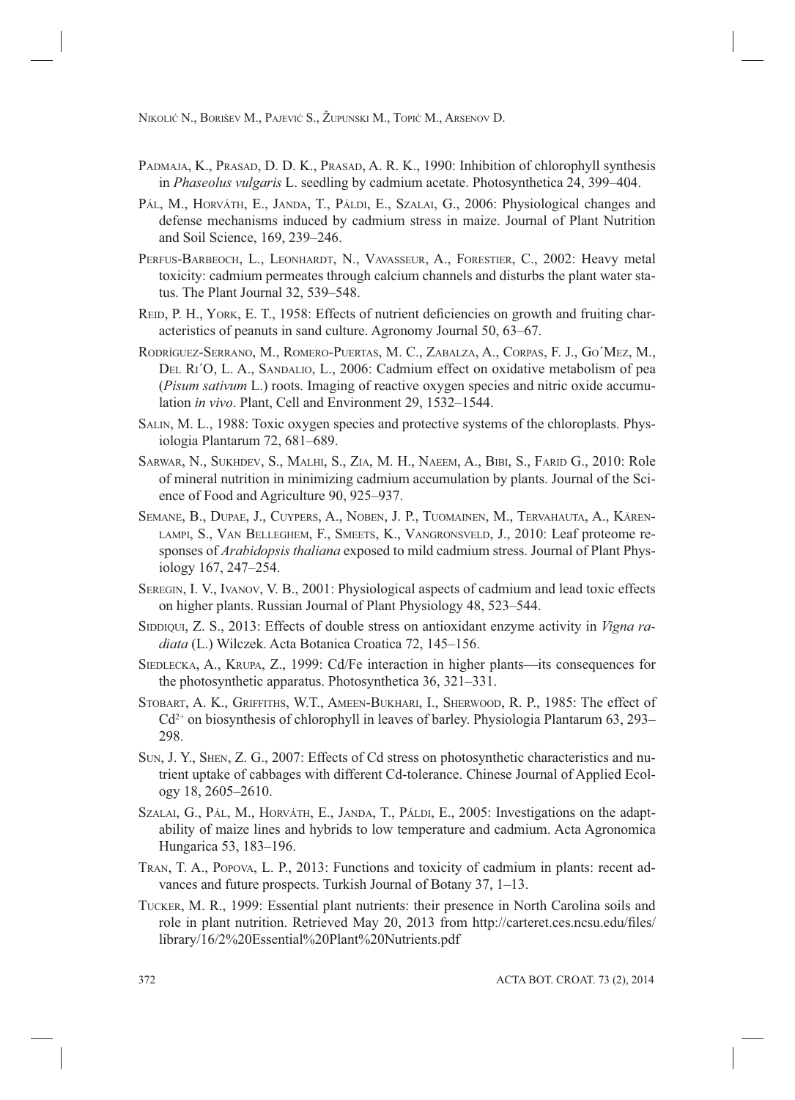- PADMAJA, K., PRASAD, D. D. K., PRASAD, A. R. K., 1990: Inhibition of chlorophyll synthesis in *Phaseolus vulgaris* L. seedling by cadmium acetatе. Photosynthetica 24, 399–404.
- PÁL, M., HORVÁTH, E., JANDA, T., PÁLDI, E., SZALAI, G., 2006: Physiological changes and defense mechanisms induced by cadmium stress in maize. Journal of Plant Nutrition and Soil Science, 169, 239–246.
- PERFUS-BARBEOCH, L., LEONHARDT, N., VAVASSEUR, A., FORESTIER, C., 2002: Heavy metal toxicity: cadmium permeates through calcium channels and disturbs the plant water status. The Plant Journal 32, 539–548.
- REID, P. H., YORK, E. T., 1958: Effects of nutrient deficiencies on growth and fruiting characteristics of peanuts in sand culture. Agronomy Journal 50, 63–67.
- RODRÍGUEZ-SERRANO, M., ROMERO-PUERTAS, M. C., ZABALZA, A., CORPAS, F. J., GO´MEZ, M., DEL RI´O, L. A., SANDALIO, L., 2006: Cadmium effect on oxidative metabolism of pea (*Pisum sativum* L.) roots. Imaging of reactive oxygen species and nitric oxide accumulation *in vivo*. Plant, Cell and Environment 29, 1532–1544.
- SALIN, M. L., 1988: Toxic oxygen species and protective systems of the chloroplasts. Physiologia Plantarum 72, 681–689.
- SARWAR, N., SUKHDEV, S., MALHI, S., ZIA, M. H., NAEEM, A., BIBI, S., FARID G., 2010: Role of mineral nutrition in minimizing cadmium accumulation by plants. Journal of the Science of Food and Agriculture 90, 925–937.
- SEMANE, B., DUPAE, J., CUYPERS, A., NOBEN, J. P., TUOMAINEN, M., TERVAHAUTA, A., KÄREN-LAMPI, S., VAN BELLEGHEM, F., SMEETS, K., VANGRONSVELD, J., 2010: Leaf proteome responses of *Arabidopsis thaliana* exposed to mild cadmium stress. Journal of Plant Physiology 167, 247–254.
- SEREGIN, I. V., IVANOV, V. B., 2001: Physiological aspects of cadmium and lead toxic effects on higher plants. Russian Journal of Plant Physiology 48, 523–544.
- SIDDIQUI, Z. S., 2013: Effects of double stress on antioxidant enzyme activity in *Vigna radiata* (L.) Wilczek. Acta Botаnica Croatica 72, 145–156.
- SIEDLECKA, A., KRUPA, Z., 1999: Cd/Fe interaction in higher plants—its consequences for the photosynthetic apparatus. Photosynthetica 36, 321–331.
- STOBART, A. K., GRIFFITHS, W.T., AMEEN-BUKHARI, I., SHERWOOD, R. P., 1985: The effect of  $Cd<sup>2+</sup>$  on biosynthesis of chlorophyll in leaves of barley. Physiologia Plantarum 63, 293– 298.
- SUN, J. Y., SHEN, Z. G., 2007: Effects of Cd stress on photosynthetic characteristics and nutrient uptake of cabbages with different Cd-tolerance. Chinese Journal of Applied Ecology 18, 2605–2610.
- SZALAI, G., PÁL, M., HORVÁTH, E., JANDA, T., PÁLDI, E., 2005: Investigations on the adaptability of maize lines and hybrids to low temperature and cadmium. Acta Agronomica Hungarica 53, 183–196.
- TRAN, T. A., POPOVA, L. P., 2013: Functions and toxicity of cadmium in plants: recent advances and future prospects. Turkish Journal of Botany 37, 1–13.
- TUCKER, M. R., 1999: Essential plant nutrients: their presence in North Carolina soils and role in plant nutrition. Retrieved May 20, 2013 from http://carteret.ces.ncsu.edu/files/ library/16/2%20Essential%20Plant%20Nutrients.pdf